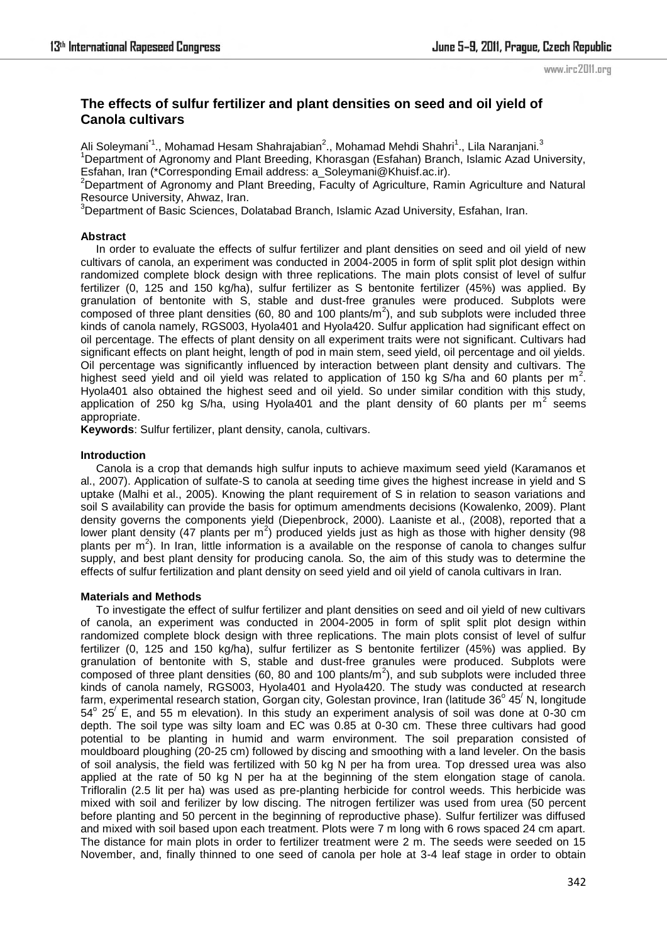# **The effects of sulfur fertilizer and plant densities on seed and oil yield of Canola cultivars**

Ali Soleymani<sup>\*1</sup>., Mohamad Hesam Shahrajabian<sup>2</sup>., Mohamad Mehdi Shahri<sup>1</sup>., Lila Naranjani.<sup>3</sup> <sup>1</sup>Department of Agronomy and Plant Breeding, Khorasgan (Esfahan) Branch, Islamic Azad University, Esfahan, Iran (\*Corresponding Email address: a\_Soleymani@Khuisf.ac.ir).

 $2$ Department of Agronomy and Plant Breeding, Faculty of Agriculture, Ramin Agriculture and Natural Resource University, Ahwaz, Iran.

<sup>3</sup>Department of Basic Sciences, Dolatabad Branch, Islamic Azad University, Esfahan, Iran.

#### **Abstract**

 In order to evaluate the effects of sulfur fertilizer and plant densities on seed and oil yield of new cultivars of canola, an experiment was conducted in 2004-2005 in form of split split plot design within randomized complete block design with three replications. The main plots consist of level of sulfur fertilizer (0, 125 and 150 kg/ha), sulfur fertilizer as S bentonite fertilizer (45%) was applied. By granulation of bentonite with S, stable and dust-free granules were produced. Subplots were composed of three plant densities (60, 80 and 100 plants/ $\overline{m}^2$ ), and sub subplots were included three kinds of canola namely, RGS003, Hyola401 and Hyola420. Sulfur application had significant effect on oil percentage. The effects of plant density on all experiment traits were not significant. Cultivars had significant effects on plant height, length of pod in main stem, seed yield, oil percentage and oil yields. Oil percentage was significantly influenced by interaction between plant density and cultivars. The highest seed yield and oil yield was related to application of 150 kg S/ha and 60 plants per  $m^2$ . Hyola401 also obtained the highest seed and oil yield. So under similar condition with this study, application of 250 kg S/ha, using Hyola401 and the plant density of 60 plants per  $m^2$  seems appropriate.

**Keywords**: Sulfur fertilizer, plant density, canola, cultivars.

#### **Introduction**

 Canola is a crop that demands high sulfur inputs to achieve maximum seed yield (Karamanos et al., 2007). Application of sulfate-S to canola at seeding time gives the highest increase in yield and S uptake (Malhi et al., 2005). Knowing the plant requirement of S in relation to season variations and soil S availability can provide the basis for optimum amendments decisions (Kowalenko, 2009). Plant density governs the components yield (Diepenbrock, 2000). Laaniste et al., (2008), reported that a lower plant density (47 plants per  $m^2$ ) produced yields just as high as those with higher density (98 plants per  $m^2$ ). In Iran, little information is a available on the response of canola to changes sulfur supply, and best plant density for producing canola. So, the aim of this study was to determine the effects of sulfur fertilization and plant density on seed yield and oil yield of canola cultivars in Iran.

# **Materials and Methods**

 To investigate the effect of sulfur fertilizer and plant densities on seed and oil yield of new cultivars of canola, an experiment was conducted in 2004-2005 in form of split split plot design within randomized complete block design with three replications. The main plots consist of level of sulfur fertilizer (0, 125 and 150 kg/ha), sulfur fertilizer as S bentonite fertilizer (45%) was applied. By granulation of bentonite with S, stable and dust-free granules were produced. Subplots were composed of three plant densities (60, 80 and 100 plants/ $\overline{m}^2$ ), and sub subplots were included three kinds of canola namely, RGS003, Hyola401 and Hyola420. The study was conducted at research farm, experimental research station, Gorgan city, Golestan province, Iran (latitude 36° 45<sup>/</sup> N, longitude  $54^{\circ}$  25<sup> $\prime$ </sup> E, and 55 m elevation). In this study an experiment analysis of soil was done at 0-30 cm depth. The soil type was silty loam and EC was 0.85 at 0-30 cm. These three cultivars had good potential to be planting in humid and warm environment. The soil preparation consisted of mouldboard ploughing (20-25 cm) followed by discing and smoothing with a land leveler. On the basis of soil analysis, the field was fertilized with 50 kg N per ha from urea. Top dressed urea was also applied at the rate of 50 kg N per ha at the beginning of the stem elongation stage of canola. Trifloralin (2.5 lit per ha) was used as pre-planting herbicide for control weeds. This herbicide was mixed with soil and ferilizer by low discing. The nitrogen fertilizer was used from urea (50 percent before planting and 50 percent in the beginning of reproductive phase). Sulfur fertilizer was diffused and mixed with soil based upon each treatment. Plots were 7 m long with 6 rows spaced 24 cm apart. The distance for main plots in order to fertilizer treatment were 2 m. The seeds were seeded on 15 November, and, finally thinned to one seed of canola per hole at 3-4 leaf stage in order to obtain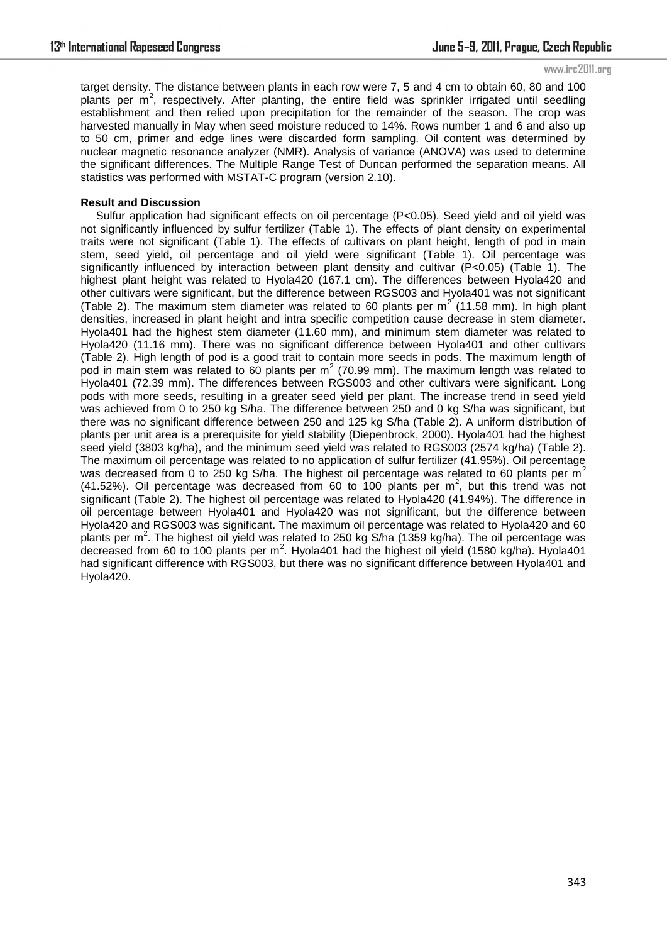www.irc2011.org

target density. The distance between plants in each row were 7, 5 and 4 cm to obtain 60, 80 and 100 plants per m<sup>2</sup>, respectively. After planting, the entire field was sprinkler irrigated until seedling establishment and then relied upon precipitation for the remainder of the season. The crop was harvested manually in May when seed moisture reduced to 14%. Rows number 1 and 6 and also up to 50 cm, primer and edge lines were discarded form sampling. Oil content was determined by nuclear magnetic resonance analyzer (NMR). Analysis of variance (ANOVA) was used to determine the significant differences. The Multiple Range Test of Duncan performed the separation means. All statistics was performed with MSTAT-C program (version 2.10).

#### **Result and Discussion**

 Sulfur application had significant effects on oil percentage (P<0.05). Seed yield and oil yield was not significantly influenced by sulfur fertilizer (Table 1). The effects of plant density on experimental traits were not significant (Table 1). The effects of cultivars on plant height, length of pod in main stem, seed yield, oil percentage and oil yield were significant (Table 1). Oil percentage was significantly influenced by interaction between plant density and cultivar (P<0.05) (Table 1). The highest plant height was related to Hyola420 (167.1 cm). The differences between Hyola420 and other cultivars were significant, but the difference between RGS003 and Hyola401 was not significant (Table 2). The maximum stem diameter was related to 60 plants per  $m^2$  (11.58 mm). In high plant densities, increased in plant height and intra specific competition cause decrease in stem diameter. Hyola401 had the highest stem diameter (11.60 mm), and minimum stem diameter was related to Hyola420 (11.16 mm). There was no significant difference between Hyola401 and other cultivars (Table 2). High length of pod is a good trait to contain more seeds in pods. The maximum length of pod in main stem was related to 60 plants per  $m^2$  (70.99 mm). The maximum length was related to Hyola401 (72.39 mm). The differences between RGS003 and other cultivars were significant. Long pods with more seeds, resulting in a greater seed yield per plant. The increase trend in seed yield was achieved from 0 to 250 kg S/ha. The difference between 250 and 0 kg S/ha was significant, but there was no significant difference between 250 and 125 kg S/ha (Table 2). A uniform distribution of plants per unit area is a prerequisite for yield stability (Diepenbrock, 2000). Hyola401 had the highest seed yield (3803 kg/ha), and the minimum seed yield was related to RGS003 (2574 kg/ha) (Table 2). The maximum oil percentage was related to no application of sulfur fertilizer (41.95%). Oil percentage was decreased from 0 to 250 kg S/ha. The highest oil percentage was related to 60 plants per  $m^2$ (41.52%). Oil percentage was decreased from 60 to 100 plants per  $m^2$ , but this trend was not significant (Table 2). The highest oil percentage was related to Hyola420 (41.94%). The difference in oil percentage between Hyola401 and Hyola420 was not significant, but the difference between Hyola420 and RGS003 was significant. The maximum oil percentage was related to Hyola420 and 60 plants per m<sup>2</sup>. The highest oil yield was related to 250 kg S/ha (1359 kg/ha). The oil percentage was decreased from 60 to 100 plants per  $m^2$ . Hyola401 had the highest oil yield (1580 kg/ha). Hyola401 had significant difference with RGS003, but there was no significant difference between Hyola401 and Hyola420.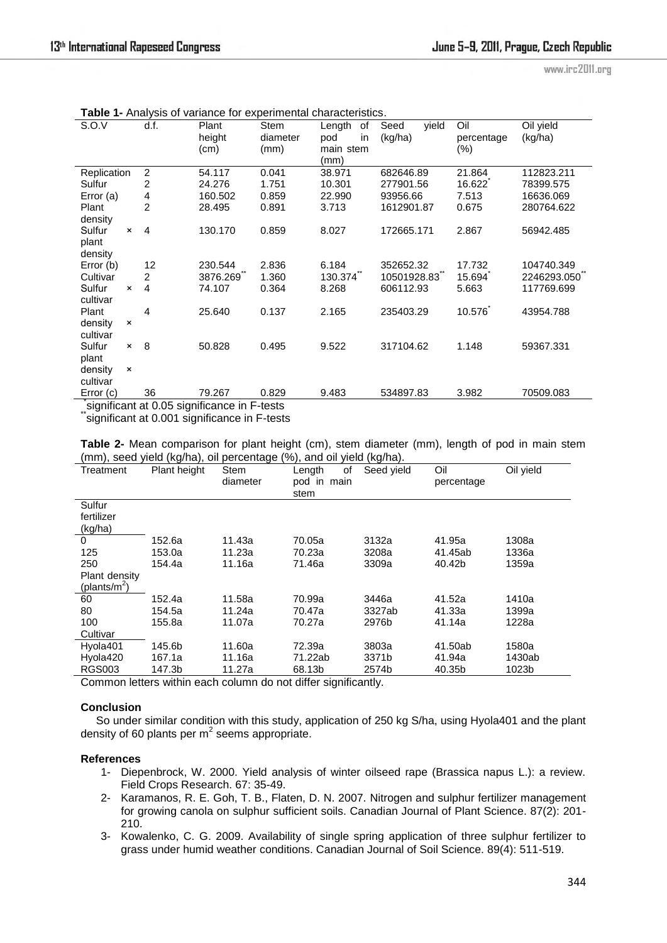www.irc2011.org

| S.O.V                                       |                           | d.f.           | Plant    | <b>Stem</b> | Length    | of | Seed        | yield | Oil        | Oil yield   |
|---------------------------------------------|---------------------------|----------------|----------|-------------|-----------|----|-------------|-------|------------|-------------|
|                                             |                           |                | height   | diameter    | pod       | in | (kg/ha)     |       | percentage | (kg/ha)     |
|                                             |                           |                | (cm)     | (mm)        | main stem |    |             |       | $(\% )$    |             |
|                                             |                           |                |          |             | (mm)      |    |             |       |            |             |
| Replication                                 |                           | $\overline{2}$ | 54.117   | 0.041       | 38.971    |    | 682646.89   |       | 21.864     | 112823.211  |
| Sulfur                                      |                           | 2              | 24.276   | 1.751       | 10.301    |    | 277901.56   |       | 16.622     | 78399.575   |
| Error (a)                                   |                           | 4              | 160.502  | 0.859       | 22.990    |    | 93956.66    |       | 7.513      | 16636.069   |
| Plant                                       |                           | $\overline{2}$ | 28.495   | 0.891       | 3.713     |    | 1612901.87  |       | 0.675      | 280764.622  |
| density                                     |                           |                |          |             |           |    |             |       |            |             |
| Sulfur                                      | $\times$                  | $\overline{4}$ | 130.170  | 0.859       | 8.027     |    | 172665.171  |       | 2.867      | 56942.485   |
| plant                                       |                           |                |          |             |           |    |             |       |            |             |
| density                                     |                           |                |          |             |           |    |             |       |            |             |
| Error (b)                                   |                           | 12             | 230.544  | 2.836       | 6.184     |    | 352652.32   |       | 17.732     | 104740.349  |
| Cultivar                                    |                           | $\overline{2}$ | 3876.269 | 1.360       | 130.374   |    | 10501928.83 |       | 15.694     | 2246293.050 |
| Sulfur                                      | $\boldsymbol{\mathsf{x}}$ | 4              | 74.107   | 0.364       | 8.268     |    | 606112.93   |       | 5.663      | 117769.699  |
| cultivar                                    |                           |                |          |             |           |    |             |       |            |             |
| Plant                                       |                           | 4              | 25.640   | 0.137       | 2.165     |    | 235403.29   |       | 10.576     | 43954.788   |
| density                                     | $\times$                  |                |          |             |           |    |             |       |            |             |
| cultivar                                    |                           |                |          |             |           |    |             |       |            |             |
| Sulfur                                      | $\boldsymbol{\mathsf{x}}$ | 8              | 50.828   | 0.495       | 9.522     |    | 317104.62   |       | 1.148      | 59367.331   |
| plant                                       |                           |                |          |             |           |    |             |       |            |             |
| density                                     | $\boldsymbol{\mathsf{x}}$ |                |          |             |           |    |             |       |            |             |
| cultivar                                    |                           |                |          |             |           |    |             |       |            |             |
| Error (c)                                   |                           | 36             | 79.267   | 0.829       | 9.483     |    | 534897.83   |       | 3.982      | 70509.083   |
| significant at 0.05 significance in F-tests |                           |                |          |             |           |    |             |       |            |             |

**Table 1-** Analysis of variance for experimental characteristics.

\*significant at 0.001 significance in F-tests

**Table 2-** Mean comparison for plant height (cm), stem diameter (mm), length of pod in main stem (mm), seed yield (kg/ha), oil percentage (%), and oil yield (kg/ha).

| .,,<br>Treatment | $\cdots$ g $\cdots$ r $\cdots$<br>Plant height | `ອັ<br><b>Stem</b> | $\cdot$ , , .<br>οf<br>Length | \`` <i>`J'```</i> ~`/`<br>Seed yield | Oil        | Oil yield |
|------------------|------------------------------------------------|--------------------|-------------------------------|--------------------------------------|------------|-----------|
|                  |                                                | diameter           | pod in main                   |                                      | percentage |           |
|                  |                                                |                    | stem                          |                                      |            |           |
| Sulfur           |                                                |                    |                               |                                      |            |           |
| fertilizer       |                                                |                    |                               |                                      |            |           |
| (kg/ha)          |                                                |                    |                               |                                      |            |           |
| 0                | 152.6a                                         | 11.43a             | 70.05a                        | 3132a                                | 41.95a     | 1308a     |
| 125              | 153.0a                                         | 11.23a             | 70.23a                        | 3208a                                | 41.45ab    | 1336a     |
| 250              | 154.4a                                         | 11.16a             | 71.46a                        | 3309a                                | 40.42b     | 1359a     |
| Plant density    |                                                |                    |                               |                                      |            |           |
| (plants/ $m^2$ ) |                                                |                    |                               |                                      |            |           |
| 60               | 152.4a                                         | 11.58a             | 70.99a                        | 3446a                                | 41.52a     | 1410a     |
| 80               | 154.5a                                         | 11.24a             | 70.47a                        | 3327ab                               | 41.33a     | 1399a     |
| 100              | 155.8a                                         | 11.07a             | 70.27a                        | 2976b                                | 41.14a     | 1228a     |
| Cultivar         |                                                |                    |                               |                                      |            |           |
| Hyola401         | 145.6b                                         | 11.60a             | 72.39a                        | 3803a                                | 41.50ab    | 1580a     |
| Hyola420         | 167.1a                                         | 11.16a             | 71.22ab                       | 3371b                                | 41.94a     | 1430ab    |
| <b>RGS003</b>    | 147.3b                                         | 11.27a             | 68.13b                        | 2574b                                | 40.35b     | 1023b     |

Common letters within each column do not differ significantly.

# **Conclusion**

 So under similar condition with this study, application of 250 kg S/ha, using Hyola401 and the plant density of 60 plants per  $m^2$  seems appropriate.

# **References**

- 1- Diepenbrock, W. 2000. Yield analysis of winter oilseed rape (Brassica napus L.): a review. Field Crops Research. 67: 35-49.
- 2- Karamanos, R. E. Goh, T. B., Flaten, D. N. 2007. Nitrogen and sulphur fertilizer management for growing canola on sulphur sufficient soils. Canadian Journal of Plant Science. 87(2): 201- 210.
- 3- Kowalenko, C. G. 2009. Availability of single spring application of three sulphur fertilizer to grass under humid weather conditions. Canadian Journal of Soil Science. 89(4): 511-519.